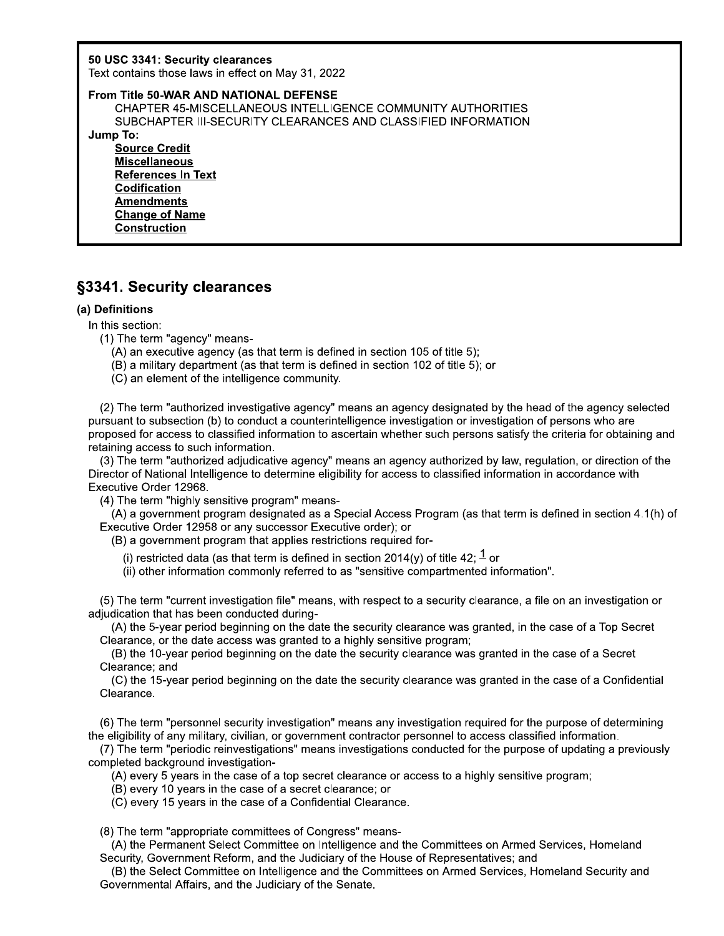50 USC 3341: Security clearances

+,-.-/01213431.5631748+838

50 USC 3341: Security clearances<br>
Text contains those laws in effect on May 31, 2022<br>
From Title 50-WAR AND NATIONAL DEFENSE<br>
CHAPTER 45-MISCELLANEOUS INTELLIGENCE COMMU<br>
SUBCHAPTER III-SECURITY CLEARANCES AND CLASSI<br>
Jump CHAPTER 45-MISCELLANEOUS INTELLIGENCE COMMUNITY AUTHORITIES SUBCHAPTER III-SECURITY CLEARANCES AND CLASSIFIED INFORMATION

Jump\_io:

**Source Credit Miscellaneous References In Text Codification Amendments Change of Name Construction** 

# §3341. Security clearances

## (a) Definitions

- In this section:<br>(1) The term "agency" means-
	-
	-
	- (C) an element of the intelligence community.

**S3341. Security clearance**<br>
(a) Definitions<br>
In this section:<br>
(1) The term "agency" means-<br>
(A) an executive agency (as t<br>
(B) a military department (as<br>
(C) an element of the intellige<br>
(2) The term "authorized investit **1. Security clearances**<br>
Finitions<br>
is section:<br>  $\Box$  The term "agency" means-<br>  $\Box$  A an executive agency (as that term is defined in section 105 of title 5);<br>
(B) a military department (as that term is defined in secti **1. Security clearances**<br>
Sinitions<br>
Sinitions<br>
Sinitions<br>
Since term "agency" means-<br>
(B) an executive agency (as that term is defined in section 105 of title 5);<br>
(B) a military department (as that term is defined in sec (2) The term "authorized investigative agency" means an agency designated by the head of the agency selected pursuant to subsection (b) to conduct a counterintelligence investigation or investigation of persons who are proposed for access to classified information to ascertain whether such persons satisfy the criteria for obtaining and retaining access to such information. (C) an element of the intelligence c<br>
(2) The term "authorized investigative<br>
pursuant to subsection (b) to conduct a<br>
proposed for access to classified inform<br>
retaining access to such information.<br>
(3) The term "authori ) The term "authorized investigative agency" means an agency designated by the head of the agency selected<br>uant to subsection (b) to conduct a counterintelligence investigation or investigation of persons who are<br>osed for

(3) The term "authorized adjudicative agency" means an agency authorized by law, regulation, or direction of the Director of National Intelligence to determine eligibility for access to classified information in accordance with<br>Executive Order 12968. pursuant to subsection (b) to conduct a counterintelligence invest<br>proposed for access to classified information to ascertain whethe<br>retaining access to such information.<br>(3) The term "authorized adjudicative agency" means ng access to such information.<br>The term "authorized adjudicative agency" means an agency authorized by law, regulation, or<br>The ferm "authorized adjudicative coefficially for access to classified information in accord<br>ive O

(4) The term "highly sensitive program" means-<br>(A) a government program designated as a Special Access Program (as that term is defined in section 4.1(h) of

 $(B)$  a government program that applies restrictions required for-

- 
- (ii) other information commonly referred to as "sensitive compartmented information".

 $(5)$  The term "current investigation file" means, with respect to a security clearance, a file on an investigation or adjudication that has been conducted during-

(A) the 5-year period beginning on the date the security clearance was granted, in the case of a Top Secret Clearance, or the date access was granted to a highly sensitive program:

Clearance; and<br>(C) the 15-year period beginning on the date the security clearance was granted in the case of a Confidential Clearance.

(6) The term "personnel security investigation" means any investigation required for the purpose of determining the eligibility of any military, civilian, or government contractor personnel to access classified information.

(i) restricted data (as that term is defined in section 2014(y) of title 42;  $\frac{1}{2}$  or<br>
(ii) restricted data (as that term is defined in section 2014(y) of title 42;  $\frac{1}{2}$  or<br>
(ii) other information commonly referr (ii) other information commonly referred to as "sensitive compartmented information".<br>
(5) The term "current investigation file" means, with respect to a security clearance, a file on an investigation or<br>
adjudication tha  $(7)$  The term "periodic reinvestigations" means investigations conducted for the purpose of updating a previously completed background investigation-<br>(A) every 5 years in the case of a top secret clearance or access to a highly sensitive program;

 $(8)$  The term "appropriate committees of Congress" means-

(A) the Permanent Select Committee on Intelligence and the Committees on Armed Services, Homeland Security, Government Reform, and the Judiciary of the House of Representatives; and

(C) the 15-year period beginning on the date the security dearance was granted in the case of a<br>Clearance.<br>(6) The term "personnel security investigation" means any investigation required for the purpose of<br>the eligibility Given the eligibility of any military, civilian, or government contractor per (7) The term "periodic reinvestigations" means investigations completed background investigation-<br>
(A) every 5 years in the case of a top secret (B) the Select Committee on Intelligence and the Committees on Armed Services, Homeland Security and Governmental Affairs, and the Judiciary of the Senate.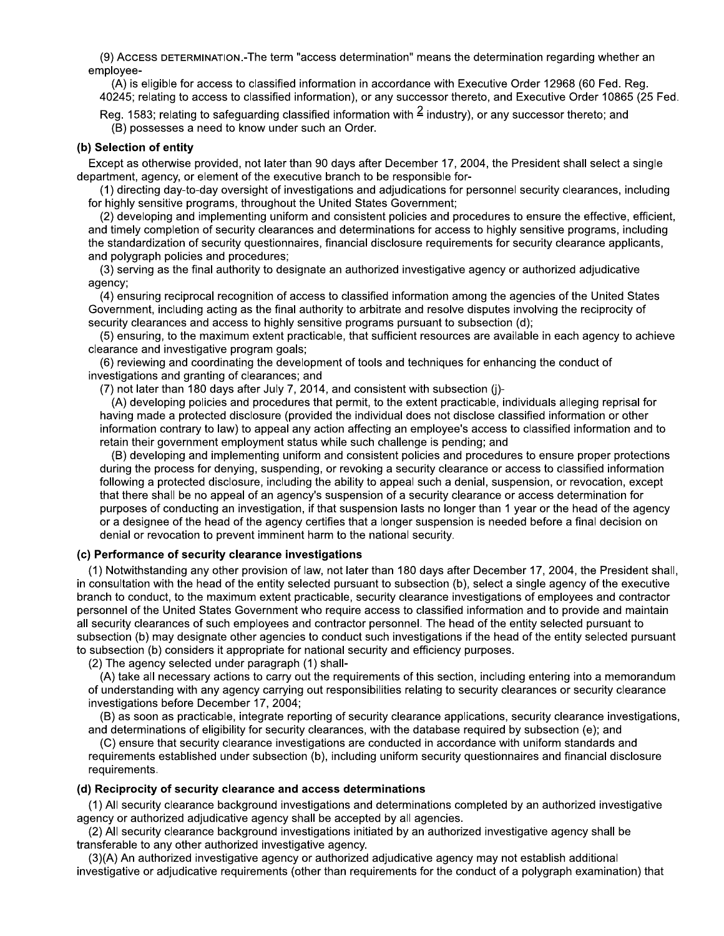(9) ACCESS DETERMINATION.-The term "access determination" means the determination regarding whether an emplovee-

(A) is eligible for access to classified information in accordance with Executive Order 12968 (60 Fed. Reg. 40245; relating to access to classified information), or any successor thereto, and Executive Order 10865 (25 Fed.

Reg. 1583; relating to safeguarding classified information with  $\frac{2}{3}$  industry), or any successor thereto; and (B) possesses a need to know under such an Order.

#### (b) Selection of entity

Except as otherwise provided, not later than 90 days after December 17, 2004, the President shall select a single department, agency, or element of the executive branch to be responsible for-

(1) directing day-to-day oversight of investigations and adjudications for personnel security clearances, including for highly sensitive programs, throughout the United States Government;

(2) developing and implementing uniform and consistent policies and procedures to ensure the effective, efficient, and timely completion of security clearances and determinations for access to highly sensitive programs, including the standardization of security questionnaires, financial disclosure requirements for security clearance applicants, and polygraph policies and procedures;

(3) serving as the final authority to designate an authorized investigative agency or authorized adjudicative agency;

(4) ensuring reciprocal recognition of access to classified information among the agencies of the United States Government, including acting as the final authority to arbitrate and resolve disputes involving the reciprocity of security clearances and access to highly sensitive programs pursuant to subsection (d);

(5) ensuring, to the maximum extent practicable, that sufficient resources are available in each agency to achieve clearance and investigative program goals;

(6) reviewing and coordinating the development of tools and techniques for enhancing the conduct of investigations and granting of clearances; and

(7) not later than 180 days after July 7, 2014, and consistent with subsection (j)-

(A) developing policies and procedures that permit, to the extent practicable, individuals alleging reprisal for having made a protected disclosure (provided the individual does not disclose classified information or other information contrary to law) to appeal any action affecting an employee's access to classified information and to retain their government employment status while such challenge is pending; and

(B) developing and implementing uniform and consistent policies and procedures to ensure proper protections during the process for denying, suspending, or revoking a security clearance or access to classified information following a protected disclosure, including the ability to appeal such a denial, suspension, or revocation, except that there shall be no appeal of an agency's suspension of a security clearance or access determination for purposes of conducting an investigation, if that suspension lasts no longer than 1 year or the head of the agency or a designee of the head of the agency certifies that a longer suspension is needed before a final decision on denial or revocation to prevent imminent harm to the national security.

#### (c) Performance of security clearance investigations

(1) Notwithstanding any other provision of law, not later than 180 days after December 17, 2004, the President shall, in consultation with the head of the entity selected pursuant to subsection (b), select a single agency of the executive branch to conduct, to the maximum extent practicable, security clearance investigations of employees and contractor personnel of the United States Government who require access to classified information and to provide and maintain all security clearances of such employees and contractor personnel. The head of the entity selected pursuant to subsection (b) may designate other agencies to conduct such investigations if the head of the entity selected pursuant to subsection (b) considers it appropriate for national security and efficiency purposes.

(2) The agency selected under paragraph (1) shall-

(A) take all necessary actions to carry out the requirements of this section, including entering into a memorandum of understanding with any agency carrying out responsibilities relating to security clearances or security clearance investigations before December 17, 2004;

(B) as soon as practicable, integrate reporting of security clearance applications, security clearance investigations, and determinations of eligibility for security clearances, with the database required by subsection (e); and

(C) ensure that security clearance investigations are conducted in accordance with uniform standards and requirements established under subsection (b), including uniform security questionnaires and financial disclosure requirements.

#### (d) Reciprocity of security clearance and access determinations

(1) All security clearance background investigations and determinations completed by an authorized investigative agency or authorized adjudicative agency shall be accepted by all agencies.

(2) All security clearance background investigations initiated by an authorized investigative agency shall be transferable to any other authorized investigative agency.

(3)(A) An authorized investigative agency or authorized adjudicative agency may not establish additional investigative or adjudicative requirements (other than requirements for the conduct of a polygraph examination) that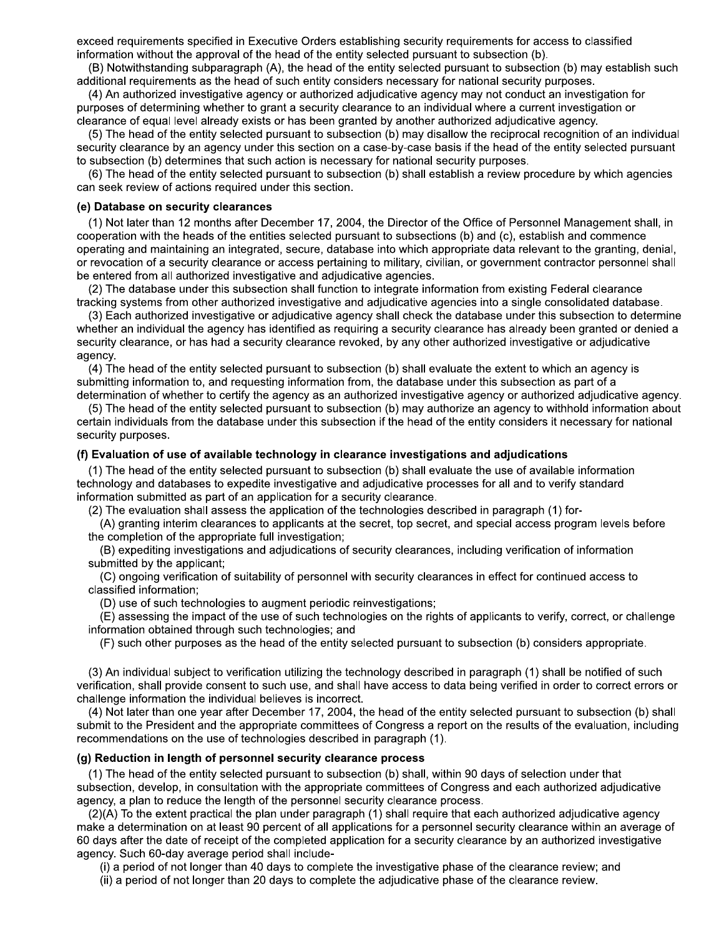exceed requirements specified in Executive Orders establishing security requirements for access to classified information without the approval of the head of the entity selected pursuant to subsection (b).

(B) Notwithstanding subparagraph (A), the head of the entity selected pursuant to subsection (b) may establish such additional requirements as the head of such entity considers necessary for national security purposes.

(4) An authorized investigative agency or authorized adjudicative agency may not conduct an investigation for purposes of determining whether to grant a security clearance to an individual where a current investigation or clearance of equal level already exists or has been granted by another authorized adjudicative agency.

(5) The head of the entity selected pursuant to subsection (b) may disallow the reciprocal recognition of an individual security clearance by an agency under this section on a case-by-case basis if the head of the entity selected pursuant to subsection (b) determines that such action is necessary for national security purposes.

(6) The head of the entity selected pursuant to subsection (b) shall establish a review procedure by which agencies can seek review of actions required under this section.

#### (e) Database on security clearances

(1) Not later than 12 months after December 17, 2004, the Director of the Office of Personnel Management shall, in cooperation with the heads of the entities selected pursuant to subsections (b) and (c), establish and commence operating and maintaining an integrated, secure, database into which appropriate data relevant to the granting, denial, or revocation of a security clearance or access pertaining to military, civilian, or government contractor personnel shall be entered from all authorized investigative and adjudicative agencies.

(2) The database under this subsection shall function to integrate information from existing Federal clearance tracking systems from other authorized investigative and adjudicative agencies into a single consolidated database.

(3) Each authorized investigative or adjudicative agency shall check the database under this subsection to determine whether an individual the agency has identified as requiring a security clearance has already been granted or denied a security clearance, or has had a security clearance revoked, by any other authorized investigative or adjudicative agency.

(4) The head of the entity selected pursuant to subsection (b) shall evaluate the extent to which an agency is submitting information to, and requesting information from, the database under this subsection as part of a determination of whether to certify the agency as an authorized investigative agency or authorized adjudicative agency.

(5) The head of the entity selected pursuant to subsection (b) may authorize an agency to withhold information about certain individuals from the database under this subsection if the head of the entity considers it necessary for national security purposes.

#### (f) Evaluation of use of available technology in clearance investigations and adjudications

(1) The head of the entity selected pursuant to subsection (b) shall evaluate the use of available information technology and databases to expedite investigative and adjudicative processes for all and to verify standard information submitted as part of an application for a security clearance.

(2) The evaluation shall assess the application of the technologies described in paragraph (1) for-

(A) granting interim clearances to applicants at the secret, top secret, and special access program levels before the completion of the appropriate full investigation:

(B) expediting investigations and adjudications of security clearances, including verification of information submitted by the applicant;

(C) ongoing verification of suitability of personnel with security clearances in effect for continued access to classified information:

(D) use of such technologies to augment periodic reinvestigations;

(E) assessing the impact of the use of such technologies on the rights of applicants to verify, correct, or challenge information obtained through such technologies; and

(F) such other purposes as the head of the entity selected pursuant to subsection (b) considers appropriate.

(3) An individual subject to verification utilizing the technology described in paragraph (1) shall be notified of such verification, shall provide consent to such use, and shall have access to data being verified in order to correct errors or challenge information the individual believes is incorrect.

(4) Not later than one year after December 17, 2004, the head of the entity selected pursuant to subsection (b) shall submit to the President and the appropriate committees of Congress a report on the results of the evaluation, including recommendations on the use of technologies described in paragraph (1).

#### (g) Reduction in length of personnel security clearance process

(1) The head of the entity selected pursuant to subsection (b) shall, within 90 days of selection under that subsection, develop, in consultation with the appropriate committees of Congress and each authorized adjudicative agency, a plan to reduce the length of the personnel security clearance process.

(2)(A) To the extent practical the plan under paragraph (1) shall require that each authorized adjudicative agency make a determination on at least 90 percent of all applications for a personnel security clearance within an average of 60 days after the date of receipt of the completed application for a security clearance by an authorized investigative agency. Such 60-day average period shall include-

(i) a period of not longer than 40 days to complete the investigative phase of the clearance review; and

(ii) a period of not longer than 20 days to complete the adjudicative phase of the clearance review.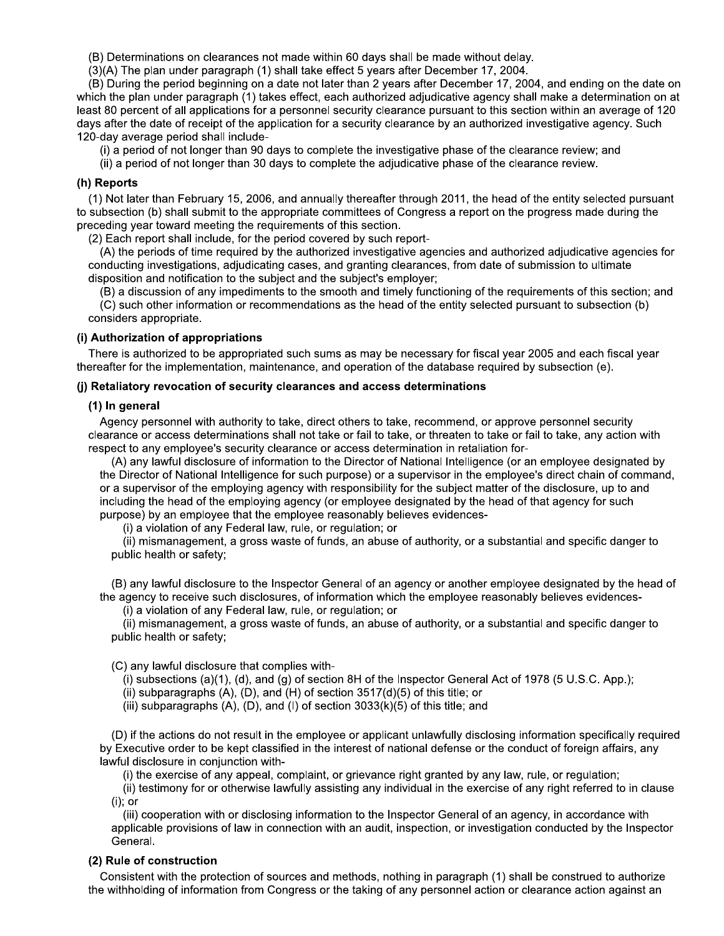(B) Determinations on clearances not made within 60 days shall be made without delay.

(3)(A) The plan under paragraph (1) shall take effect 5 years after December 17, 2004.

(B) During the period beginning on a date not later than 2 years after December 17, 2004, and ending on the date on which the plan under paragraph (1) takes effect, each authorized adjudicative agency shall make a determination on at least 80 percent of all applications for a personnel security clearance pursuant to this section within an average of 120 days after the date of receipt of the application for a security clearance by an authorized investigative agency. Such 120-day average period shall include-

(i) a period of not longer than 90 days to complete the investigative phase of the clearance review; and

(ii) a period of not longer than 30 days to complete the adjudicative phase of the clearance review.

## (h) Reports

(1) Not later than February 15, 2006, and annually thereafter through 2011, the head of the entity selected pursuant to subsection (b) shall submit to the appropriate committees of Congress a report on the progress made during the preceding year toward meeting the requirements of this section.

(2) Each report shall include, for the period covered by such report-

(A) the periods of time required by the authorized investigative agencies and authorized adjudicative agencies for conducting investigations, adjudicating cases, and granting clearances, from date of submission to ultimate disposition and notification to the subject and the subject's employer;

(B) a discussion of any impediments to the smooth and timely functioning of the requirements of this section; and (C) such other information or recommendations as the head of the entity selected pursuant to subsection (b) considers appropriate.

#### (i) Authorization of appropriations

There is authorized to be appropriated such sums as may be necessary for fiscal year 2005 and each fiscal year thereafter for the implementation, maintenance, and operation of the database required by subsection (e).

#### (j) Retaliatory revocation of security clearances and access determinations

#### (1) In general

Agency personnel with authority to take, direct others to take, recommend, or approve personnel security clearance or access determinations shall not take or fail to take, or threaten to take or fail to take, any action with respect to any employee's security clearance or access determination in retaliation for-

(A) any lawful disclosure of information to the Director of National Intelligence (or an employee designated by the Director of National Intelligence for such purpose) or a supervisor in the employee's direct chain of command, or a supervisor of the employing agency with responsibility for the subject matter of the disclosure, up to and including the head of the employing agency (or employee designated by the head of that agency for such purpose) by an employee that the employee reasonably believes evidences-

(i) a violation of any Federal law, rule, or regulation; or

(ii) mismanagement, a gross waste of funds, an abuse of authority, or a substantial and specific danger to public health or safety;

(B) any lawful disclosure to the Inspector General of an agency or another employee designated by the head of the agency to receive such disclosures, of information which the employee reasonably believes evidences-

(i) a violation of any Federal law, rule, or regulation; or

(ii) mismanagement, a gross waste of funds, an abuse of authority, or a substantial and specific danger to public health or safety;

(C) any lawful disclosure that complies with-

(i) subsections  $(a)(1)$ ,  $(d)$ , and  $(g)$  of section 8H of the Inspector General Act of 1978 (5 U.S.C. App.);

(ii) subparagraphs  $(A)$ ,  $(D)$ , and  $(H)$  of section  $3517(d)(5)$  of this title; or

(iii) subparagraphs  $(A)$ ,  $(D)$ , and  $(I)$  of section  $3033(k)(5)$  of this title; and

(D) if the actions do not result in the employee or applicant unlawfully disclosing information specifically required by Executive order to be kept classified in the interest of national defense or the conduct of foreign affairs, any lawful disclosure in conjunction with-

(i) the exercise of any appeal, complaint, or grievance right granted by any law, rule, or regulation;

(ii) testimony for or otherwise lawfully assisting any individual in the exercise of any right referred to in clause  $(i)$ ; or

(iii) cooperation with or disclosing information to the Inspector General of an agency, in accordance with applicable provisions of law in connection with an audit, inspection, or investigation conducted by the Inspector General.

## (2) Rule of construction

Consistent with the protection of sources and methods, nothing in paragraph (1) shall be construed to authorize the withholding of information from Congress or the taking of any personnel action or clearance action against an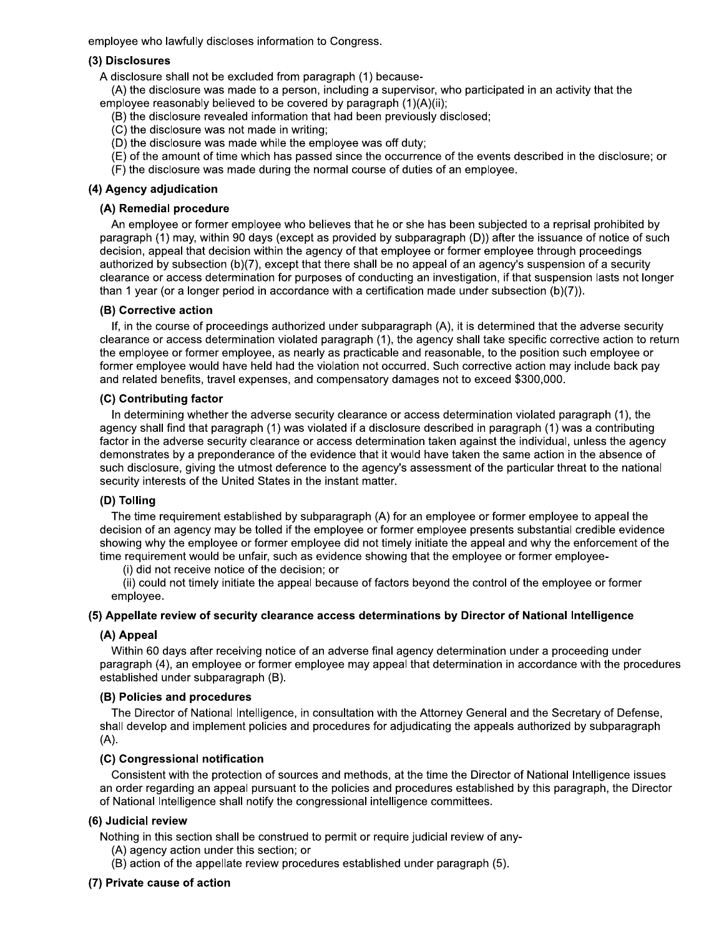employee who lawfully discloses information to Congress.

## (3) Disclosures

A disclosure shall not be excluded from paragraph (1) because-

(A) the disclosure was made to a person, including a supervisor, who participated in an activity that the employee reasonably believed to be covered by paragraph (1)(A)(ii);

- (B) the disclosure revealed information that had been previously disclosed;
- (C) the disclosure was not made in writing;
- (D) the disclosure was made while the employee was off duty;
- (E) of the amount of time which has passed since the occurrence of the events described in the disclosure; or
- (F) the disclosure was made during the normal course of duties of an employee.

# (4) Agency adjudication

## (A) Remedial procedure

An employee or former employee who believes that he or she has been subjected to a reprisal prohibited by paragraph (1) may, within 90 days (except as provided by subparagraph (D)) after the issuance of notice of such decision, appeal that decision within the agency of that employee or former employee through proceedings authorized by subsection (b)(7), except that there shall be no appeal of an agency's suspension of a security clearance or access determination for purposes of conducting an investigation, if that suspension lasts not longer than 1 year (or a longer period in accordance with a certification made under subsection (b)(7)).

## (B) Corrective action

If, in the course of proceedings authorized under subparagraph (A), it is determined that the adverse security clearance or access determination violated paragraph (1), the agency shall take specific corrective action to return the employee or former employee, as nearly as practicable and reasonable, to the position such employee or former employee would have held had the violation not occurred. Such corrective action may include back pay and related benefits, travel expenses, and compensatory damages not to exceed \$300,000.

## (C) Contributing factor

In determining whether the adverse security clearance or access determination violated paragraph (1), the agency shall find that paragraph (1) was violated if a disclosure described in paragraph (1) was a contributing factor in the adverse security clearance or access determination taken against the individual, unless the agency demonstrates by a preponderance of the evidence that it would have taken the same action in the absence of such disclosure, giving the utmost deference to the agency's assessment of the particular threat to the national security interests of the United States in the instant matter.

## (D) Tolling

The time requirement established by subparagraph (A) for an employee or former employee to appeal the decision of an agency may be tolled if the employee or former employee presents substantial credible evidence showing why the employee or former employee did not timely initiate the appeal and why the enforcement of the time requirement would be unfair, such as evidence showing that the employee or former employee-

(i) did not receive notice of the decision; or

(ii) could not timely initiate the appeal because of factors beyond the control of the employee or former emplovee.

## (5) Appellate review of security clearance access determinations by Director of National Intelligence

## (A) Appeal

Within 60 days after receiving notice of an adverse final agency determination under a proceeding under paragraph (4), an employee or former employee may appeal that determination in accordance with the procedures established under subparagraph (B).

## (B) Policies and procedures

The Director of National Intelligence, in consultation with the Attorney General and the Secretary of Defense, shall develop and implement policies and procedures for adjudicating the appeals authorized by subparagraph  $(A)$ .

## (C) Congressional notification

Consistent with the protection of sources and methods, at the time the Director of National Intelligence issues an order regarding an appeal pursuant to the policies and procedures established by this paragraph, the Director of National Intelligence shall notify the congressional intelligence committees.

## (6) Judicial review

Nothing in this section shall be construed to permit or require judicial review of any-

- (A) agency action under this section; or
- (B) action of the appellate review procedures established under paragraph (5).

## (7) Private cause of action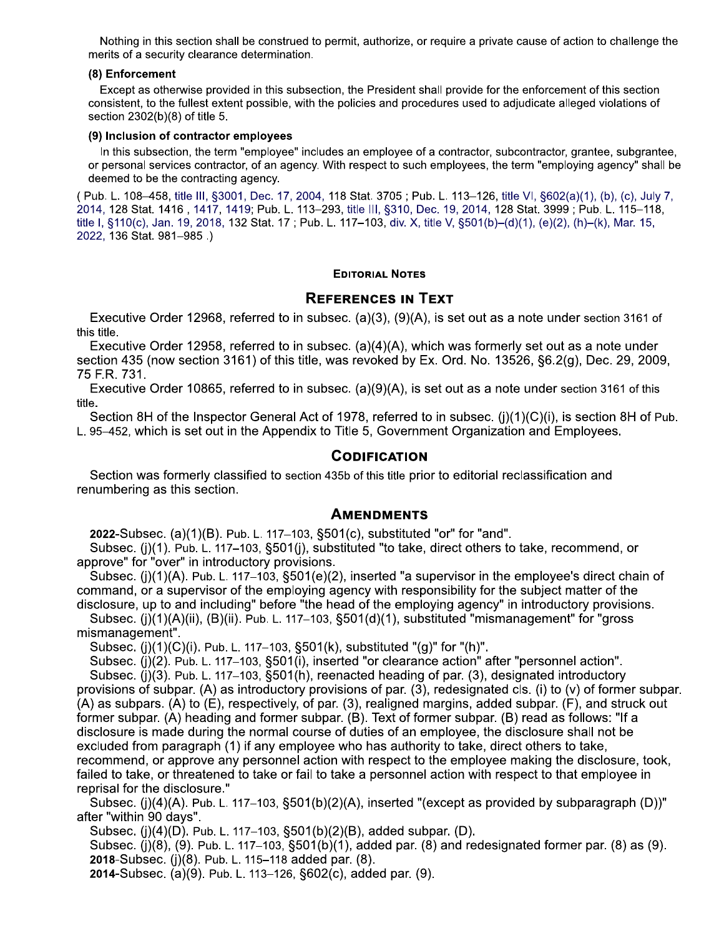Nothing in this section shall be construed to permit, authorize, or require a private cause of action to challenge the merits of a security clearance determination.

#### (8) Enforcement

Except as otherwise provided in this subsection, the President shall provide for the enforcement of this section consistent, to the fullest extent possible, with the policies and procedures used to adjudicate alleged violations of section 2302(b)(8) of title 5.

#### (9) Inclusion of contractor employees

In this subsection, the term "employee" includes an employee of a contractor, subcontractor, grantee, subgrantee, or personal services contractor, of an agency. With respect to such employees, the term "employing agency" shall be deemed to be the contracting agency.

(Pub. L. 108–458, title III, §3001, Dec. 17, 2004, 118 Stat. 3705; Pub. L. 113–126, title VI, §602(a)(1), (b), (c), July 7, 2014, 128 Stat. 1416, 1417, 1419; Pub. L. 113–293, title III, §310, Dec. 19, 2014, 128 Stat. 3999; Pub. L. 115–118, title I, §110(c), Jan. 19, 2018, 132 Stat. 17; Pub. L. 117-103, div. X, title V, §501(b)-(d)(1), (e)(2), (h)-(k), Mar. 15, 2022, 136 Stat. 981-985.)

## **EDITORIAL NOTES**

# **REFERENCES IN TEXT**

Executive Order 12968, referred to in subsec. (a)(3), (9)(A), is set out as a note under section 3161 of this title.

Executive Order 12958, referred to in subsec. (a)(4)(A), which was formerly set out as a note under section 435 (now section 3161) of this title, was revoked by Ex. Ord. No. 13526, §6.2(q), Dec. 29, 2009, 75 F.R. 731.

Executive Order 10865, referred to in subsec. (a)(9)(A), is set out as a note under section 3161 of this title.

Section 8H of the Inspector General Act of 1978, referred to in subsec. (i)(1)(C)(i), is section 8H of Pub. L. 95-452. which is set out in the Appendix to Title 5, Government Organization and Employees.

# **CODIFICATION**

Section was formerly classified to section 435b of this title prior to editorial reclassification and renumbering as this section.

## **AMENDMENTS**

2022-Subsec. (a)(1)(B). Pub. L. 117-103, §501(c), substituted "or" for "and".

Subsec. (j)(1). Pub. L. 117–103, §501(j), substituted "to take, direct others to take, recommend, or approve" for "over" in introductory provisions.

Subsec. (i)(1)(A). Pub. L. 117–103, §501(e)(2), inserted "a supervisor in the employee's direct chain of command, or a supervisor of the employing agency with responsibility for the subject matter of the disclosure, up to and including" before "the head of the employing agency" in introductory provisions.

Subsec. (j)(1)(A)(ii), (B)(ii). Pub. L. 117-103,  $\S501(d)(1)$ , substituted "mismanagement" for "gross mismanagement".

Subsec. (j)(1)(C)(i). Pub. L. 117-103, §501(k), substituted "(g)" for "(h)".

Subsec. (i)(2). Pub. L. 117-103, §501(i), inserted "or clearance action" after "personnel action".

Subsec. (j)(3). Pub. L. 117-103, §501(h), reenacted heading of par. (3), designated introductory provisions of subpar. (A) as introductory provisions of par. (3), redesignated cls. (i) to (v) of former subpar.  $(A)$  as subpars. (A) to  $(E)$ , respectively, of par. (3), realigned margins, added subpar. (F), and struck out former subpar. (A) heading and former subpar. (B). Text of former subpar. (B) read as follows: "If a disclosure is made during the normal course of duties of an employee, the disclosure shall not be excluded from paragraph (1) if any employee who has authority to take, direct others to take, recommend, or approve any personnel action with respect to the employee making the disclosure, took, failed to take, or threatened to take or fail to take a personnel action with respect to that employee in reprisal for the disclosure."

Subsec. (j)(4)(A). Pub. L. 117–103, §501(b)(2)(A), inserted "(except as provided by subparagraph (D))" after "within 90 days".

Subsec. (j)(4)(D). Pub. L. 117-103, §501(b)(2)(B), added subpar. (D).

Subsec. (i)(8), (9). Pub. L. 117–103, §501(b)(1), added par. (8) and redesignated former par. (8) as (9). 2018-Subsec. (i)(8). Pub. L. 115-118 added par. (8).

2014-Subsec. (a)(9). Pub. L. 113–126, §602(c), added par. (9).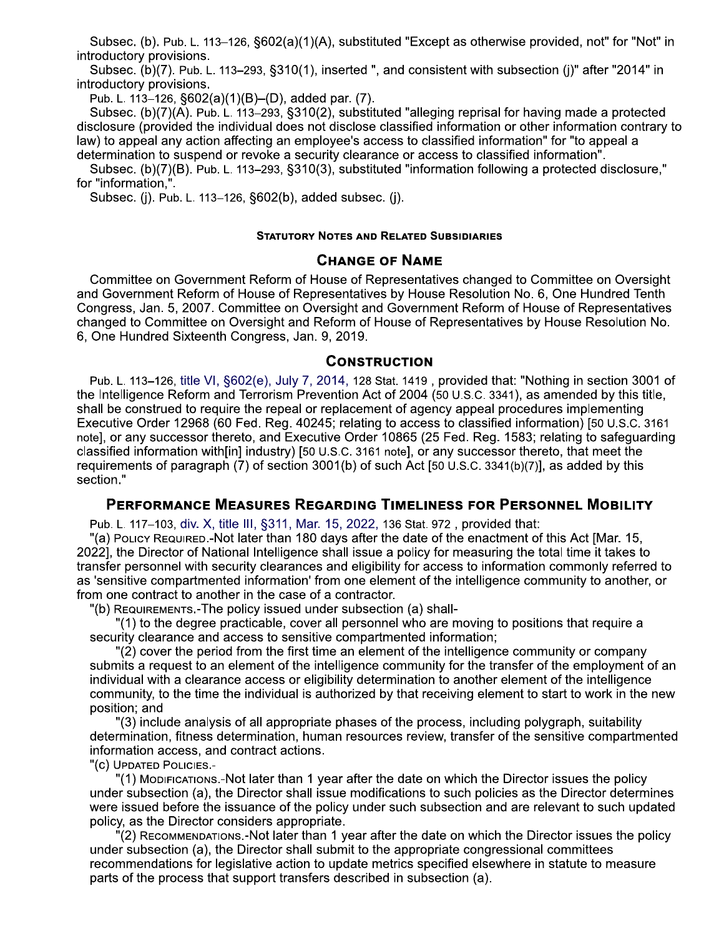Subsec. (b). Pub. L. 113–126, §602(a)(1)(A), substituted "Except as otherwise provided, not" for "Not" in introductory provisions.

Subsec. (b)(7). Pub. L. 113–293, §310(1), inserted ", and consistent with subsection (j)" after "2014" in introductory provisions.

Pub. L. 113-126, §602(a)(1)(B)-(D), added par. (7).

Subsec. (b)(7)(A). Pub. L. 113-293, §310(2), substituted "alleging reprisal for having made a protected disclosure (provided the individual does not disclose classified information or other information contrary to law) to appeal any action affecting an employee's access to classified information" for "to appeal a determination to suspend or revoke a security clearance or access to classified information".

Subsec. (b)(7)(B). Pub. L. 113-293, §310(3), substituted "information following a protected disclosure," for "information.".

Subsec. (j). Pub. L. 113-126, §602(b), added subsec. (j).

## **STATUTORY NOTES AND RELATED SUBSIDIARIES**

# **CHANGE OF NAME**

Committee on Government Reform of House of Representatives changed to Committee on Oversight and Government Reform of House of Representatives by House Resolution No. 6, One Hundred Tenth Congress, Jan. 5, 2007. Committee on Oversight and Government Reform of House of Representatives changed to Committee on Oversight and Reform of House of Representatives by House Resolution No. 6, One Hundred Sixteenth Congress, Jan. 9, 2019.

## **CONSTRUCTION**

Pub. L. 113-126, title VI, §602(e), July 7, 2014, 128 Stat. 1419, provided that: "Nothing in section 3001 of the Intelligence Reform and Terrorism Prevention Act of 2004 (50 U.S.C. 3341), as amended by this title, shall be construed to require the repeal or replacement of agency appeal procedures implementing Executive Order 12968 (60 Fed. Reg. 40245; relating to access to classified information) [50 U.S.C. 3161 note], or any successor thereto, and Executive Order 10865 (25 Fed. Reg. 1583; relating to safeguarding classified information with [in] industry) [50 U.S.C. 3161 note], or any successor thereto, that meet the requirements of paragraph (7) of section 3001(b) of such Act [50 U.S.C. 3341(b)(7)], as added by this section."

# PERFORMANCE MEASURES REGARDING TIMELINESS FOR PERSONNEL MOBILITY

Pub. L. 117-103, div. X, title III, §311, Mar. 15, 2022, 136 Stat. 972, provided that:

"(a) PoLICY REQUIRED.-Not later than 180 days after the date of the enactment of this Act [Mar. 15, 2022], the Director of National Intelligence shall issue a policy for measuring the total time it takes to transfer personnel with security clearances and eligibility for access to information commonly referred to as 'sensitive compartmented information' from one element of the intelligence community to another, or from one contract to another in the case of a contractor.

"(b) REQUIREMENTS.-The policy issued under subsection (a) shall-

"(1) to the degree practicable, cover all personnel who are moving to positions that require a security clearance and access to sensitive compartmented information;

"(2) cover the period from the first time an element of the intelligence community or company submits a request to an element of the intelligence community for the transfer of the employment of an individual with a clearance access or eligibility determination to another element of the intelligence community, to the time the individual is authorized by that receiving element to start to work in the new position; and

"(3) include analysis of all appropriate phases of the process, including polygraph, suitability determination, fitness determination, human resources review, transfer of the sensitive compartmented information access, and contract actions.

"(C) UPDATED POLICIES.-

(1) Mopirications.-Not later than 1 year after the date on which the Director issues the policy under subsection (a), the Director shall issue modifications to such policies as the Director determines were issued before the issuance of the policy under such subsection and are relevant to such updated policy, as the Director considers appropriate.

(2) RECOMMENDATIONS.-Not later than 1 year after the date on which the Director issues the policy under subsection (a), the Director shall submit to the appropriate congressional committees recommendations for legislative action to update metrics specified elsewhere in statute to measure parts of the process that support transfers described in subsection (a).